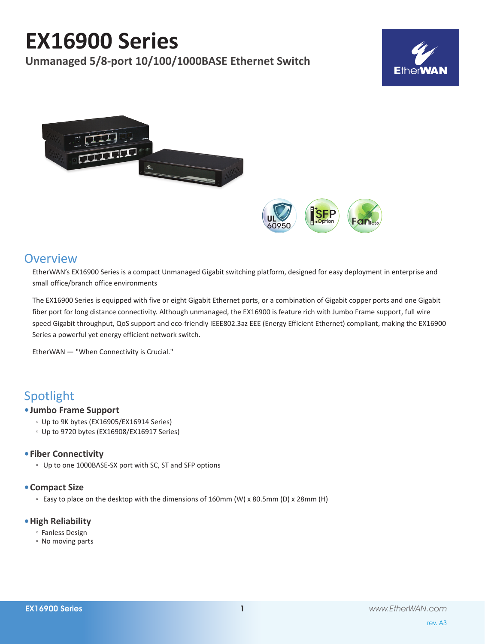# **EX16900 Series**

**Unmanaged 5/8-port 10/100/1000BASE Ethernet Switch**







### **Overview**

EtherWAN's EX16900 Series is a compact Unmanaged Gigabit switching platform, designed for easy deployment in enterprise and small office/branch office environments

The EX16900 Series is equipped with five or eight Gigabit Ethernet ports, or a combination of Gigabit copper ports and one Gigabit fiber port for long distance connectivity. Although unmanaged, the EX16900 is feature rich with Jumbo Frame support, full wire speed Gigabit throughput, QoS support and eco-friendly IEEE802.3az EEE (Energy Efficient Ethernet) compliant, making the EX16900 Series a powerful yet energy efficient network switch.

EtherWAN — "When Connectivity is Crucial."

### Spotlight

#### **• Jumbo Frame Support**

- Up to 9K bytes (EX16905/EX16914 Series)
- Up to 9720 bytes (EX16908/EX16917 Series)

#### **• Fiber Connectivity**

◦ Up to one 1000BASE-SX port with SC, ST and SFP options

#### **• Compact Size**

◦ Easy to place on the desktop with the dimensions of 160mm (W) x 80.5mm (D) x 28mm (H)

#### **• High Reliability**

- Fanless Design
- No moving parts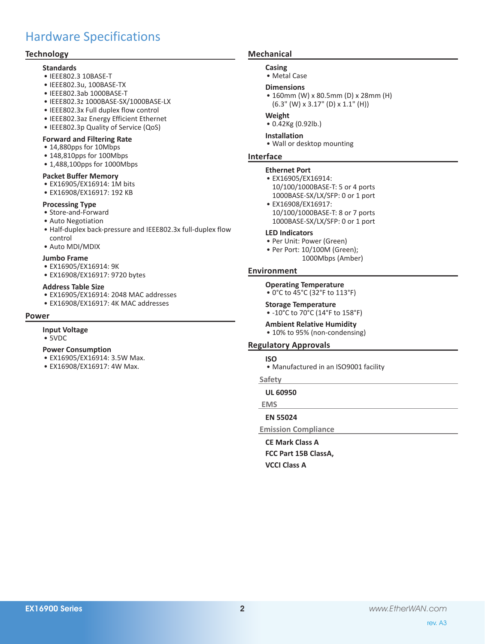### Hardware Specifications

#### **Technology**

#### **Standards** • IEEE802.3 10BASE-T

- • IEEE802.3u, 100BASE-TX
- • IEEE802.3ab 1000BASE-T
- 
- • IEEE802.3z 1000BASE-SX/1000BASE-LX
- • IEEE802.3x Full duplex flow control
- • IEEE802.3az Energy Efficient Ethernet
- IEEE802.3p Quality of Service (QoS)

#### **Forward and Filtering Rate**

- • 14,880pps for 10Mbps
- • 148,810pps for 100Mbps
- 1,488,100pps for 1000Mbps

#### **Packet Buffer Memory**

- • EX16905/EX16914: 1M bits
- • EX16908/EX16917: 192 KB

#### **Processing Type**

- Store-and-Forward
- • Auto Negotiation
- Half-duplex back-pressure and IEEE802.3x full-duplex flow control
- • Auto MDI/MDIX

#### **Jumbo Frame**

- • EX16905/EX16914: 9K
- • EX16908/EX16917: 9720 bytes

#### **Address Table Size**

- • EX16905/EX16914: 2048 MAC addresses
- EX16908/EX16917: 4K MAC addresses

#### **Power**

#### **Input Voltage**

• 5VDC

#### **Power Consumption**

- EX16905/EX16914: 3.5W Max.
- • EX16908/EX16917: 4W Max.

#### **Mechanical**

#### **Casing**

• Metal Case

#### **Dimensions**

• 160mm (W) x 80.5mm (D) x 28mm (H)  $(6.3"$  (W) x 3.17" (D) x 1.1" (H))

#### **Weight**

• 0.42Kg (0.92lb.)

#### **Installation**

• Wall or desktop mounting

#### **Interface**

#### **Ethernet Port**

- • EX16905/EX16914: 10/100/1000BASE-T: 5 or 4 ports 1000BASE-SX/LX/SFP: 0 or 1 port
- • EX16908/EX16917: 10/100/1000BASE-T: 8 or 7 ports 1000BASE-SX/LX/SFP: 0 or 1 port

#### **LED Indicators**

- • Per Unit: Power (Green)
- Per Port: 10/100M (Green); 1000Mbps (Amber)

#### **Environment**

**Operating Temperature** • 0°C to 45°C (32°F to 113°F)

#### **Storage Temperature**

• -10°C to 70°C (14°F to 158°F)

#### **Ambient Relative Humidity**

• 10% to 95% (non-condensing)

#### **Regulatory Approvals**

#### **ISO**

• Manufactured in an ISO9001 facility

#### **Safety**

**UL 60950**

#### **EMS**

#### **EN 55024**

**Emission Compliance**

**CE Mark Class A FCC Part 15B ClassA, VCCI Class A**